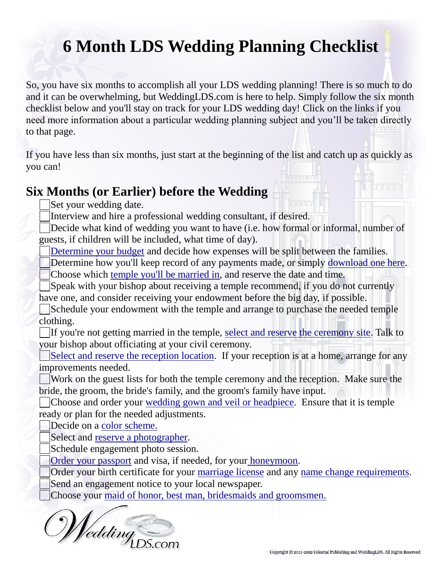# **6 Month LDS Wedding Planning Checklist**

So, you have six months to accomplish all your LDS wedding planning! There is so much to do and it can be overwhelming, but WeddingLDS.com is here to help. Simply follow the six month checklist below and you'll stay on track for your LDS wedding day! Click on the links if you need more information about a particular wedding planning subject and you'll be taken directly to that page.

If you have less than six months, just start at the beginning of the list and catch up as quickly as you can!

#### **Six Months (or Earlier) before the Wedding**

Set your wedding date.

Interview and hire a professional wedding consultant, if desired.

Decide what kind of wedding you want to have (i.e. how formal or informal, number of guests, if children will be included, what time of day).

[Determine your budget](http://www.weddinglds.com/lds-wedding-budget) and decide how expenses will be split between the families.

Determine how you'll keep record of any payments made, or simply [download one here.](http://www.weddinglds.com/lds-wedding-budget/lds-wedding-budget-instruction-sheet) Choose which [temple you'll be married in,](http://www.weddinglds.info/choose-a-state) and reserve the date and time.

Speak with your bishop about receiving a temple recommend, if you do not currently have one, and consider receiving your endowment before the big day, if possible.

Schedule your endowment with the temple and arrange to purchase the needed temple clothing.

If you're not getting married in the temple, [select and reserve the ceremony site.](http://www.weddinglds.info/lds-reception-and-open-houses/lds-reception-details/lds-wedding-receptions-details) Talk to your bishop about officiating at your civil ceremony.

[Select and reserve the reception location.](http://www.weddinglds.info/lds-reception-and-open-houses/lds-reception-details/lds-wedding-receptions-details) If your reception is at a home, arrange for any improvements needed.

Work on the guest lists for both the temple ceremony and the reception. Make sure the bride, the groom, the bride's family, and the groom's family have input.

Choose and order your [wedding gown and veil or headpiece.](http://www.weddinglds.com/modest-wedding-dresses) Ensure that it is temple ready or plan for the needed adjustments.

Decide on a [color scheme.](http://www.weddinglds.com/lds-bride/choosing-color)

Select and [reserve a photographer.](http://www.weddinglds.com/lds-wedding-photography)

Schedule engagement photo session.

[Order your passport](http://www.weddinglds.com/honeymoon-tips/tips-for-honeymooning-abroad) and visa, if needed, for your [honeymoon.](http://www.weddinglds.com/honeymoon-tips)

Order your birth certificate for your [marriage license](http://www.weddinglds.com/marriage-license) and any [name change requirements.](http://www.weddinglds.com/after-the-lds-wedding/changing-your-name) Send an engagement notice to your local newspaper.

Choose your [maid of honor, best man, bridesmaids and groomsmen.](http://www.weddinglds.com/attendants)

Wedding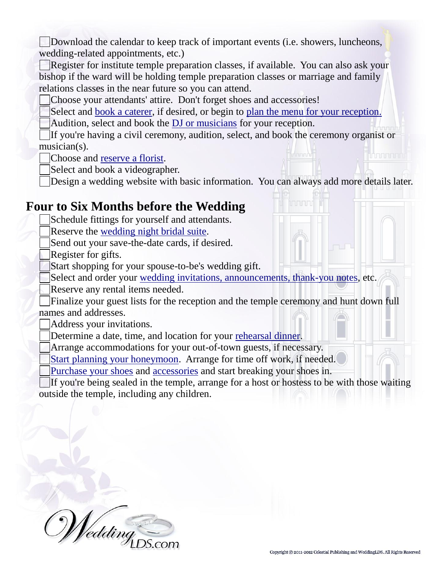Download the calendar to keep track of important events (i.e. showers, luncheons, wedding-related appointments, etc.)

Register for institute temple preparation classes, if available. You can also ask your bishop if the ward will be holding temple preparation classes or marriage and family relations classes in the near future so you can attend.

Choose your attendants' attire. Don't forget shoes and accessories!

Select and [book a caterer,](http://www.weddinglds.info/lds-reception-catering) if desired, or begin to [plan the menu for your reception.](http://www.weddinglds.info/lds-reception-catering/lds-wedding-catering)

Audition, select and book the [DJ or musicians](http://www.weddinglds.info/music-for-lds-weddings) for your reception.

If you're having a civil ceremony, audition, select, and book the ceremony organist or musician(s). <u>Innonon</u>

Choose and [reserve a florist.](http://www.weddinglds.com/lds-bride/lds-wedding-flowers)

Select and book a videographer.

Design a wedding website with basic information. You can always add more details later.

## **Four to Six Months before the Wedding**

Schedule fittings for yourself and attendants.

Reserve the [wedding night bridal suite.](http://www.weddinglds.info/choose-a-state)

Send out your save-the-date cards, if desired.

Register for gifts.

Start shopping for your spouse-to-be's wedding gift.

Select and order your [wedding invitations, announcements, thank-you notes,](http://www.weddinglds.com/lds-wedding-invitations) etc.

Reserve any rental items needed.

Finalize your guest lists for the reception and the temple ceremony and hunt down full names and addresses.

Address your invitations.

Determine a date, time, and location for your [rehearsal dinner.](http://www.weddinglds.info/lds-reception-catering/rehearsal-dinner-for-lds-weddings)

Arrange accommodations for your out-of-town guests, if necessary.

[Start planning your honeymoon.](http://www.weddinglds.com/honeymoon-tips) Arrange for time off work, if needed.

[Purchase your shoes](http://www.weddinglds.com/lds-bride/lds-brides-accessories/choosing-wedding-shoes) and [accessories](http://www.weddinglds.com/lds-bride/lds-brides-accessories) and start breaking your shoes in.

If you're being sealed in the temple, arrange for a host or hostess to be with those waiting outside the temple, including any children.

*ledding*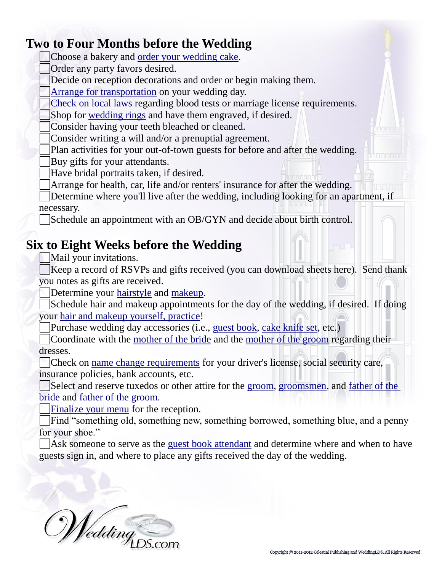## **Two to Four Months before the Wedding**

Choose a bakery and [order your wedding cake.](http://www.weddinglds.info/wedding-cakes-for-lds-receptions)

Order any party favors desired.

Decide on reception decorations and order or begin making them.

[Arrange for transportation](http://www.weddinglds.info/lds-reception-and-open-houses/lds-wedding-reception-day-transportation) on your wedding day.

[Check on local laws](http://usmarriagelaws.com/search/united_states/index.shtml) regarding blood tests or marriage license requirements.

Shop for [wedding rings](http://www.weddinglds.com/lds-wedding-rings) and have them engraved, if desired.

Consider having your teeth bleached or cleaned.

Consider writing a will and/or a prenuptial agreement.

Plan activities for your out-of-town guests for before and after the wedding. Buy gifts for your attendants.

Have bridal portraits taken, if desired.

Arrange for health, car, life and/or renters' insurance for after the wedding.

Determine where you'll live after the wedding, including looking for an apartment, if necessary.

Schedule an appointment with an OB/GYN and decide about birth control.

## **Six to Eight Weeks before the Wedding**

Mail your invitations.

Keep a record of RSVPs and gifts received (you can download sheets here). Send thank you notes as gifts are received.

Determine your [hairstyle](http://www.weddinglds.com/lds-bride/bridal-hairstyles-for-lds-brides) and [makeup.](http://www.weddinglds.com/lds-bride/bridal-makeup-tips-for-your-lds-wedding-day)

Schedule hair and makeup appointments for the day of the wedding, if desired. If doing your [hair and makeup yourself, practice!](http://www.weddinglds.com/lds-bride/bridal-hairstyles-for-lds-brides/diy-wedding-hairstyles)

Purchase wedding day accessories (i.e., [guest book,](http://www.weddinglds.info/lds-reception-and-open-houses/lds-reception-details/lds-wedding-reception-guest-book) [cake knife set,](http://www.weddinglds.info/wedding-cakes-for-lds-receptions/cake-cutting-ceremony) etc.)

Coordinate with the [mother of the bride](http://www.weddinglds.com/parents/mother-of-the-lds-bride) and the [mother of the groom](http://www.weddinglds.com/parents/mother-of-the-lds-groom) regarding their dresses.

Check on [name change requirements](http://www.weddinglds.com/after-the-lds-wedding/changing-your-name) for your driver's license, social security care, insurance policies, bank accounts, etc.

Select and reserve tuxedos or other attire for the [groom,](http://www.weddinglds.com/lds-groom/tuxedos-a-guide-for-the-lds-groom) [groomsmen,](http://www.weddinglds.com/attendants/best-man-and-groomsmen/tuxedos-a-guide-for-lds-groomsmen) and father of the [bride](http://www.weddinglds.com/parents/father-of-the-lds-bride) and [father of the groom.](http://www.weddinglds.com/parents/father-of-the-lds-groom/father-of-the-groom-tuxedo-tips)

[Finalize your menu](http://www.weddinglds.info/lds-reception-catering) for the reception.

Find "something old, something new, something borrowed, something blue, and a penny for your shoe."

Ask someone to serve as the [guest book attendant](http://www.weddinglds.info/lds-reception-and-open-houses/lds-reception-details/lds-wedding-reception-guest-book) and determine where and when to have guests sign in, and where to place any gifts received the day of the wedding.

*ledding* 

uhununu

tranan

**TUR**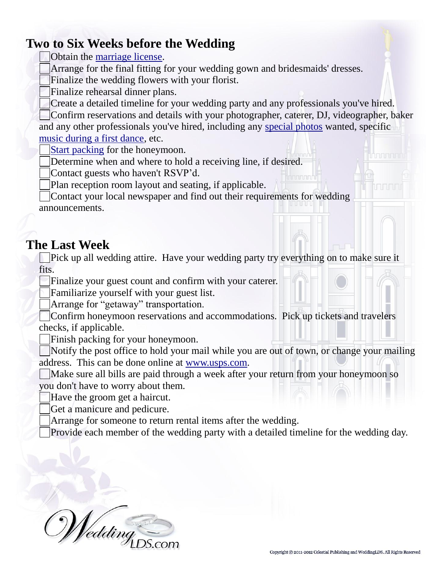## **Two to Six Weeks before the Wedding**

Obtain the [marriage license.](http://www.weddinglds.com/marriage-license)

Arrange for the final fitting for your wedding gown and bridesmaids' dresses.

Finalize the wedding flowers with your florist.

Finalize rehearsal dinner plans.

Create a detailed timeline for your wedding party and any professionals you've hired.

Confirm reservations and details with your photographer, caterer, DJ, videographer, baker and any other professionals you've hired, including any [special photos](http://www.weddinglds.com/lds-wedding-photography/lds-wedding-pictures-list) wanted, specific [music during a first dance,](http://www.weddinglds.info/music-for-lds-weddings/lds-first-dance-wedding-songs) etc.

[Start packing](http://www.weddinglds.com/honeymoon-tips/honeymoon-packing-list) for the honeymoon.

Determine when and where to hold a receiving line, if desired.

Contact guests who haven't RSVP'd.

Plan reception room layout and seating, if applicable.

Contact your local newspaper and find out their requirements for wedding announcements.

## **The Last Week**

Pick up all wedding attire. Have your wedding party try everything on to make sure it fits.

Finalize your guest count and confirm with your caterer.

Familiarize yourself with your guest list.

Arrange for "getaway" transportation.

Confirm honeymoon reservations and accommodations. Pick up tickets and travelers checks, if applicable.

Finish packing for your honeymoon.

Notify the post office to hold your mail while you are out of town, or change your mailing address. This can be done online at [www.usps.com.](http://www.usps.com/)

Make sure all bills are paid through a week after your return from your honeymoon so you don't have to worry about them.

Have the groom get a haircut.

Get a manicure and pedicure.

Arrange for someone to return rental items after the wedding.

Provide each member of the wedding party with a detailed timeline for the wedding day.

'edding

Annan a